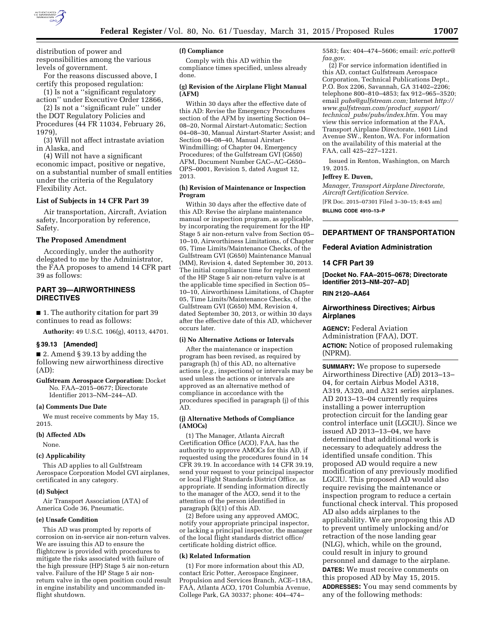

distribution of power and responsibilities among the various levels of government.

For the reasons discussed above, I certify this proposed regulation:

(1) Is not a ''significant regulatory action'' under Executive Order 12866,

(2) Is not a ''significant rule'' under the DOT Regulatory Policies and Procedures (44 FR 11034, February 26, 1979),

(3) Will not affect intrastate aviation in Alaska, and

(4) Will not have a significant economic impact, positive or negative, on a substantial number of small entities under the criteria of the Regulatory Flexibility Act.

### **List of Subjects in 14 CFR Part 39**

Air transportation, Aircraft, Aviation safety, Incorporation by reference, Safety.

#### **The Proposed Amendment**

Accordingly, under the authority delegated to me by the Administrator, the FAA proposes to amend 14 CFR part 39 as follows:

# **PART 39—AIRWORTHINESS DIRECTIVES**

■ 1. The authority citation for part 39 continues to read as follows:

**Authority:** 49 U.S.C. 106(g), 40113, 44701.

#### **§ 39.13 [Amended]**

■ 2. Amend § 39.13 by adding the following new airworthiness directive (AD):

**Gulfstream Aerospace Corporation:** Docket No. FAA–2015–0677; Directorate Identifier 2013–NM–244–AD.

### **(a) Comments Due Date**

We must receive comments by May 15, 2015.

### **(b) Affected ADs**

None.

### **(c) Applicability**

This AD applies to all Gulfstream Aerospace Corporation Model GVI airplanes, certificated in any category.

#### **(d) Subject**

Air Transport Association (ATA) of America Code 36, Pneumatic.

## **(e) Unsafe Condition**

This AD was prompted by reports of corrosion on in-service air non-return valves. We are issuing this AD to ensure the flightcrew is provided with procedures to mitigate the risks associated with failure of the high pressure (HP) Stage 5 air non-return valve. Failure of the HP Stage 5 air nonreturn valve in the open position could result in engine instability and uncommanded inflight shutdown.

# **(f) Compliance**

Comply with this AD within the compliance times specified, unless already done.

### **(g) Revision of the Airplane Flight Manual (AFM)**

Within 30 days after the effective date of this AD: Revise the Emergency Procedures section of the AFM by inserting Section 04– 08–20, Normal Airstart-Automatic; Section 04–08–30, Manual Airstart-Starter Assist; and Section 04–08–40, Manual Airstart-Windmilling; of Chapter 04, Emergency Procedures; of the Gulfstream GVI (G650) AFM, Document Number GAC–AC–G650– OPS–0001, Revision 5, dated August 12, 2013.

#### **(h) Revision of Maintenance or Inspection Program**

Within 30 days after the effective date of this AD: Revise the airplane maintenance manual or inspection program, as applicable, by incorporating the requirement for the HP Stage 5 air non-return valve from Section 05– 10–10, Airworthiness Limitations, of Chapter 05, Time Limits/Maintenance Checks, of the Gulfstream GVI (G650) Maintenance Manual (MM), Revision 4, dated September 30, 2013. The initial compliance time for replacement of the HP Stage 5 air non-return valve is at the applicable time specified in Section 05– 10–10, Airworthiness Limitations, of Chapter 05, Time Limits/Maintenance Checks, of the Gulfstream GVI (G650) MM, Revision 4, dated September 30, 2013, or within 30 days after the effective date of this AD, whichever occurs later.

### **(i) No Alternative Actions or Intervals**

After the maintenance or inspection program has been revised, as required by paragraph (h) of this AD, no alternative actions (*e.g.,* inspections) or intervals may be used unless the actions or intervals are approved as an alternative method of compliance in accordance with the procedures specified in paragraph (j) of this AD.

#### **(j) Alternative Methods of Compliance (AMOCs)**

(1) The Manager, Atlanta Aircraft Certification Office (ACO), FAA, has the authority to approve AMOCs for this AD, if requested using the procedures found in 14 CFR 39.19. In accordance with 14 CFR 39.19, send your request to your principal inspector or local Flight Standards District Office, as appropriate. If sending information directly to the manager of the ACO, send it to the attention of the person identified in paragraph (k)(1) of this AD.

(2) Before using any approved AMOC, notify your appropriate principal inspector, or lacking a principal inspector, the manager of the local flight standards district office/ certificate holding district office.

#### **(k) Related Information**

(1) For more information about this AD, contact Eric Potter, Aerospace Engineer, Propulsion and Services Branch, ACE–118A, FAA, Atlanta ACO, 1701 Columbia Avenue, College Park, GA 30337; phone: 404–474–

5583; fax: 404–474–5606; email: *[eric.potter@](mailto:eric.potter@faa.gov) [faa.gov.](mailto:eric.potter@faa.gov)* 

(2) For service information identified in this AD, contact Gulfstream Aerospace Corporation, Technical Publications Dept., P.O. Box 2206, Savannah, GA 31402–2206; telephone 800–810–4853; fax 912–965–3520; email *[pubs@gulfstream.com;](mailto:pubs@gulfstream.com)* Internet *[http://](http://www.gulfstream.com/product_support/technical_pubs/pubs/index.htm) [www.gulfstream.com/product](http://www.gulfstream.com/product_support/technical_pubs/pubs/index.htm)*\_*support/ technical*\_*[pubs/pubs/index.htm.](http://www.gulfstream.com/product_support/technical_pubs/pubs/index.htm)* You may view this service information at the FAA, Transport Airplane Directorate, 1601 Lind Avenue SW., Renton, WA. For information on the availability of this material at the FAA, call 425–227–1221.

Issued in Renton, Washington, on March 19, 2015.

# **Jeffrey E. Duven,**

*Manager, Transport Airplane Directorate, Aircraft Certification Service.*  [FR Doc. 2015–07301 Filed 3–30–15; 8:45 am]

**BILLING CODE 4910–13–P** 

### **DEPARTMENT OF TRANSPORTATION**

### **Federal Aviation Administration**

### **14 CFR Part 39**

**[Docket No. FAA–2015–0678; Directorate Identifier 2013–NM–207–AD]** 

# **RIN 2120–AA64**

## **Airworthiness Directives; Airbus Airplanes**

**AGENCY:** Federal Aviation Administration (FAA), DOT. **ACTION:** Notice of proposed rulemaking (NPRM).

**SUMMARY:** We propose to supersede Airworthiness Directive (AD) 2013–13– 04, for certain Airbus Model A318, A319, A320, and A321 series airplanes. AD 2013–13–04 currently requires installing a power interruption protection circuit for the landing gear control interface unit (LGCIU). Since we issued AD 2013–13–04, we have determined that additional work is necessary to adequately address the identified unsafe condition. This proposed AD would require a new modification of any previously modified LGCIU. This proposed AD would also require revising the maintenance or inspection program to reduce a certain functional check interval. This proposed AD also adds airplanes to the applicability. We are proposing this AD to prevent untimely unlocking and/or retraction of the nose landing gear (NLG), which, while on the ground, could result in injury to ground personnel and damage to the airplane. **DATES:** We must receive comments on this proposed AD by May 15, 2015. **ADDRESSES:** You may send comments by any of the following methods: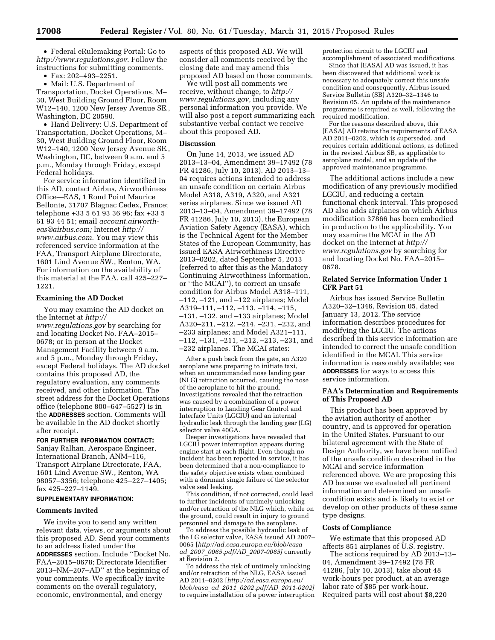• Federal eRulemaking Portal: Go to *<http://www.regulations.gov>*. Follow the instructions for submitting comments.

• Fax: 202–493–2251.

• Mail: U.S. Department of Transportation, Docket Operations, M– 30, West Building Ground Floor, Room W12–140, 1200 New Jersey Avenue SE., Washington, DC 20590.

• Hand Delivery: U.S. Department of Transportation, Docket Operations, M– 30, West Building Ground Floor, Room W12–140, 1200 New Jersey Avenue SE., Washington, DC, between 9 a.m. and 5 p.m., Monday through Friday, except Federal holidays.

For service information identified in this AD, contact Airbus, Airworthiness Office—EAS, 1 Rond Point Maurice Bellonte, 31707 Blagnac Cedex, France; telephone +33 5 61 93 36 96; fax +33 5 61 93 44 51; email *[account.airworth](mailto:account.airworth-eas@airbus.com)[eas@airbus.com;](mailto:account.airworth-eas@airbus.com)* Internet *[http://](http://www.airbus.com) [www.airbus.com](http://www.airbus.com)*. You may view this referenced service information at the FAA, Transport Airplane Directorate, 1601 Lind Avenue SW., Renton, WA. For information on the availability of this material at the FAA, call 425–227– 1221.

# **Examining the AD Docket**

You may examine the AD docket on the Internet at *[http://](http://www.regulations.gov) [www.regulations.gov](http://www.regulations.gov)* by searching for and locating Docket No. FAA–2015– 0678; or in person at the Docket Management Facility between 9 a.m. and 5 p.m., Monday through Friday, except Federal holidays. The AD docket contains this proposed AD, the regulatory evaluation, any comments received, and other information. The street address for the Docket Operations office (telephone 800–647–5527) is in the **ADDRESSES** section. Comments will be available in the AD docket shortly after receipt.

# **FOR FURTHER INFORMATION CONTACT:**

Sanjay Ralhan, Aerospace Engineer, International Branch, ANM–116, Transport Airplane Directorate, FAA, 1601 Lind Avenue SW., Renton, WA 98057–3356; telephone 425–227–1405; fax 425–227–1149.

### **SUPPLEMENTARY INFORMATION:**

### **Comments Invited**

We invite you to send any written relevant data, views, or arguments about this proposed AD. Send your comments to an address listed under the **ADDRESSES** section. Include ''Docket No. FAA–2015–0678; Directorate Identifier 2013–NM–207–AD'' at the beginning of your comments. We specifically invite comments on the overall regulatory, economic, environmental, and energy

aspects of this proposed AD. We will consider all comments received by the closing date and may amend this proposed AD based on those comments.

We will post all comments we receive, without change, to *[http://](http://www.regulations.gov) [www.regulations.gov,](http://www.regulations.gov)* including any personal information you provide. We will also post a report summarizing each substantive verbal contact we receive about this proposed AD.

# **Discussion**

On June 14, 2013, we issued AD 2013–13–04, Amendment 39–17492 (78 FR 41286, July 10, 2013). AD 2013–13– 04 requires actions intended to address an unsafe condition on certain Airbus Model A318, A319, A320, and A321 series airplanes. Since we issued AD 2013–13–04, Amendment 39–17492 (78 FR 41286, July 10, 2013), the European Aviation Safety Agency (EASA), which is the Technical Agent for the Member States of the European Community, has issued EASA Airworthiness Directive 2013–0202, dated September 5, 2013 (referred to after this as the Mandatory Continuing Airworthiness Information, or ''the MCAI''), to correct an unsafe condition for Airbus Model A318–111, –112, –121, and –122 airplanes; Model A319–111, –112, –113, –114, –115, –131, –132, and –133 airplanes; Model A320–211, –212, –214, –231, –232, and –233 airplanes; and Model A321–111, –112, –131, –211, –212, –213, –231, and –232 airplanes. The MCAI states:

After a push back from the gate, an A320 aeroplane was preparing to initiate taxi, when an uncommanded nose landing gear (NLG) retraction occurred, causing the nose of the aeroplane to hit the ground. Investigations revealed that the retraction was caused by a combination of a power interruption to Landing Gear Control and Interface Units (LGCIU) and an internal hydraulic leak through the landing gear (LG) selector valve 40GA.

Deeper investigations have revealed that LGCIU power interruption appears during engine start at each flight. Even though no incident has been reported in service, it has been determined that a non-compliance to the safety objective exists when combined with a dormant single failure of the selector valve seal leaking.

This condition, if not corrected, could lead to further incidents of untimely unlocking and/or retraction of the NLG which, while on the ground, could result in injury to ground personnel and damage to the aeroplane.

To address the possible hydraulic leak of the LG selector valve, EASA issued AD 2007– 0065 [*[http://ad.easa.europa.eu/blob/easa](http://ad.easa.europa.eu/blob/easa_ad_2007_0065.pdf/AD_2007-0065)*\_ *ad*\_*2007*\_*[0065.pdf/AD](http://ad.easa.europa.eu/blob/easa_ad_2007_0065.pdf/AD_2007-0065)*\_*2007-0065]* currently at Revision 2.

To address the risk of untimely unlocking and/or retraction of the NLG, EASA issued AD 2011–0202 [*[http://ad.easa.europa.eu/](http://ad.easa.europa.eu/blob/easa_ad_2011_0202.pdf/AD_2011-0202) blob/easa*\_*ad*\_*2011*\_*[0202.pdf/AD](http://ad.easa.europa.eu/blob/easa_ad_2011_0202.pdf/AD_2011-0202)*\_*2011-0202]*  to require installation of a power interruption protection circuit to the LGCIU and

accomplishment of associated modifications. Since that [EASA] AD was issued, it has been discovered that additional work is necessary to adequately correct this unsafe condition and consequently, Airbus issued Service Bulletin (SB) A320–32–1346 to Revision 05. An update of the maintenance programme is required as well, following the required modification.

For the reasons described above, this [EASA] AD retains the requirements of EASA AD 2011–0202, which is superseded, and requires certain additional actions, as defined in the revised Airbus SB, as applicable to aeroplane model, and an update of the approved maintenance programme.

The additional actions include a new modification of any previously modified LGCIU, and reducing a certain functional check interval. This proposed AD also adds airplanes on which Airbus modification 37866 has been embodied in production to the applicability. You may examine the MCAI in the AD docket on the Internet at *[http://](http://www.regulations.gov) [www.regulations.gov](http://www.regulations.gov)* by searching for and locating Docket No. FAA–2015– 0678.

# **Related Service Information Under 1 CFR Part 51**

Airbus has issued Service Bulletin A320–32–1346, Revision 05, dated January 13, 2012. The service information describes procedures for modifying the LGCIU. The actions described in this service information are intended to correct the unsafe condition identified in the MCAI. This service information is reasonably available; see **ADDRESSES** for ways to access this service information.

# **FAA's Determination and Requirements of This Proposed AD**

This product has been approved by the aviation authority of another country, and is approved for operation in the United States. Pursuant to our bilateral agreement with the State of Design Authority, we have been notified of the unsafe condition described in the MCAI and service information referenced above. We are proposing this AD because we evaluated all pertinent information and determined an unsafe condition exists and is likely to exist or develop on other products of these same type designs.

# **Costs of Compliance**

We estimate that this proposed AD affects 851 airplanes of U.S. registry.

The actions required by AD 2013–13– 04, Amendment 39–17492 (78 FR 41286, July 10, 2013), take about 48 work-hours per product, at an average labor rate of \$85 per work-hour. Required parts will cost about \$8,220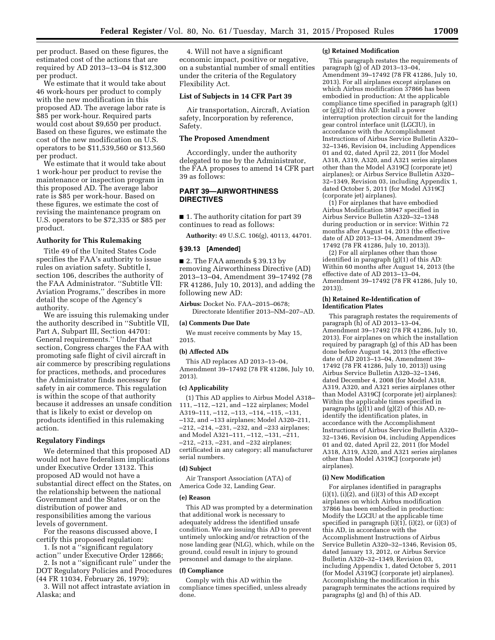per product. Based on these figures, the estimated cost of the actions that are required by AD 2013–13–04 is \$12,300 per product.

We estimate that it would take about 46 work-hours per product to comply with the new modification in this proposed AD. The average labor rate is \$85 per work-hour. Required parts would cost about \$9,650 per product. Based on these figures, we estimate the cost of the new modification on U.S. operators to be \$11,539,560 or \$13,560 per product.

We estimate that it would take about 1 work-hour per product to revise the maintenance or inspection program in this proposed AD. The average labor rate is \$85 per work-hour. Based on these figures, we estimate the cost of revising the maintenance program on U.S. operators to be \$72,335 or \$85 per product.

### **Authority for This Rulemaking**

Title 49 of the United States Code specifies the FAA's authority to issue rules on aviation safety. Subtitle I, section 106, describes the authority of the FAA Administrator. ''Subtitle VII: Aviation Programs,'' describes in more detail the scope of the Agency's authority.

We are issuing this rulemaking under the authority described in ''Subtitle VII, Part A, Subpart III, Section 44701: General requirements.'' Under that section, Congress charges the FAA with promoting safe flight of civil aircraft in air commerce by prescribing regulations for practices, methods, and procedures the Administrator finds necessary for safety in air commerce. This regulation is within the scope of that authority because it addresses an unsafe condition that is likely to exist or develop on products identified in this rulemaking action.

### **Regulatory Findings**

We determined that this proposed AD would not have federalism implications under Executive Order 13132. This proposed AD would not have a substantial direct effect on the States, on the relationship between the national Government and the States, or on the distribution of power and responsibilities among the various levels of government.

For the reasons discussed above, I certify this proposed regulation:

1. Is not a ''significant regulatory action'' under Executive Order 12866;

2. Is not a ''significant rule'' under the DOT Regulatory Policies and Procedures (44 FR 11034, February 26, 1979);

3. Will not affect intrastate aviation in Alaska; and

4. Will not have a significant economic impact, positive or negative, on a substantial number of small entities under the criteria of the Regulatory Flexibility Act.

### **List of Subjects in 14 CFR Part 39**

Air transportation, Aircraft, Aviation safety, Incorporation by reference, Safety.

## **The Proposed Amendment**

Accordingly, under the authority delegated to me by the Administrator, the FAA proposes to amend 14 CFR part 39 as follows:

# **PART 39—AIRWORTHINESS DIRECTIVES**

■ 1. The authority citation for part 39 continues to read as follows:

**Authority:** 49 U.S.C. 106(g), 40113, 44701.

#### **§ 39.13 [Amended]**

■ 2. The FAA amends § 39.13 by removing Airworthiness Directive (AD) 2013–13–04, Amendment 39–17492 (78 FR 41286, July 10, 2013), and adding the following new AD:

**Airbus:** Docket No. FAA–2015–0678; Directorate Identifier 2013–NM–207–AD.

#### **(a) Comments Due Date**

We must receive comments by May 15, 2015.

#### **(b) Affected ADs**

This AD replaces AD 2013–13–04, Amendment 39–17492 (78 FR 41286, July 10, 2013).

#### **(c) Applicability**

(1) This AD applies to Airbus Model A318– 111, –112, –121, and –122 airplanes; Model A319–111, –112, –113, –114, –115, –131, –132, and –133 airplanes; Model A320–211, –212, –214, –231, –232, and –233 airplanes; and Model A321–111, –112, –131, –211, –212, –213, –231, and –232 airplanes; certificated in any category; all manufacturer serial numbers.

#### **(d) Subject**

Air Transport Association (ATA) of America Code 32, Landing Gear.

#### **(e) Reason**

This AD was prompted by a determination that additional work is necessary to adequately address the identified unsafe condition. We are issuing this AD to prevent untimely unlocking and/or retraction of the nose landing gear (NLG), which, while on the ground, could result in injury to ground personnel and damage to the airplane.

#### **(f) Compliance**

Comply with this AD within the compliance times specified, unless already done.

#### **(g) Retained Modification**

This paragraph restates the requirements of paragraph (g) of AD 2013–13–04, Amendment 39–17492 (78 FR 41286, July 10, 2013). For all airplanes except airplanes on which Airbus modification 37866 has been embodied in production: At the applicable compliance time specified in paragraph (g)(1) or (g)(2) of this AD: Install a power interruption protection circuit for the landing gear control interface unit (LGCIU), in accordance with the Accomplishment Instructions of Airbus Service Bulletin A320– 32–1346, Revision 04, including Appendices 01 and 02, dated April 22, 2011 (for Model A318, A319, A320, and A321 series airplanes other than the Model A319CJ (corporate jet) airplanes); or Airbus Service Bulletin A320– 32–1349, Revision 03, including Appendix 1, dated October 5, 2011 (for Model A319CJ (corporate jet) airplanes).

(1) For airplanes that have embodied Airbus Modification 38947 specified in Airbus Service Bulletin A320–32–1348 during production or in service: Within 72 months after August 14, 2013 (the effective date of AD 2013–13–04, Amendment 39– 17492 (78 FR 41286, July 10, 2013)).

(2) For all airplanes other than those identified in paragraph (g)(1) of this AD: Within 60 months after August 14, 2013 (the effective date of AD 2013–13–04, Amendment 39–17492 (78 FR 41286, July 10, 2013)).

#### **(h) Retained Re-Identification of Identification Plates**

This paragraph restates the requirements of paragraph (h) of AD 2013–13–04, Amendment 39–17492 (78 FR 41286, July 10, 2013). For airplanes on which the installation required by paragraph (g) of this AD has been done before August 14, 2013 (the effective date of AD 2013–13–04, Amendment 39– 17492 (78 FR 41286, July 10, 2013)) using Airbus Service Bulletin A320–32–1346, dated December 4, 2008 (for Model A318, A319, A320, and A321 series airplanes other than Model A319CJ (corporate jet) airplanes): Within the applicable times specified in paragraphs (g)(1) and (g)(2) of this AD, reidentify the identification plates, in accordance with the Accomplishment Instructions of Airbus Service Bulletin A320– 32–1346, Revision 04, including Appendices 01 and 02, dated April 22, 2011 (for Model A318, A319, A320, and A321 series airplanes other than Model A319CJ (corporate jet) airplanes).

### **(i) New Modification**

For airplanes identified in paragraphs  $(i)(1)$ ,  $(i)(2)$ , and  $(i)(3)$  of this AD except airplanes on which Airbus modification 37866 has been embodied in production: Modify the LGCIU at the applicable time specified in paragraph (i)(1), (i)(2), or (i)(3) of this AD, in accordance with the Accomplishment Instructions of Airbus Service Bulletin A320–32–1346, Revision 05, dated January 13, 2012, or Airbus Service Bulletin A320–32–1349, Revision 03, including Appendix 1, dated October 5, 2011 (for Model A319CJ (corporate jet) airplanes). Accomplishing the modification in this paragraph terminates the actions required by paragraphs (g) and (h) of this AD.